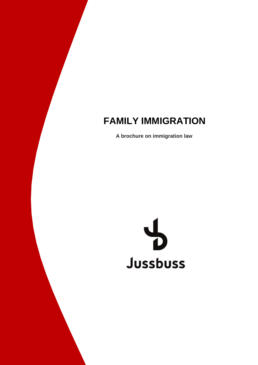# **FAMILY IMMIGRATION**

**A brochure on immigration law**

#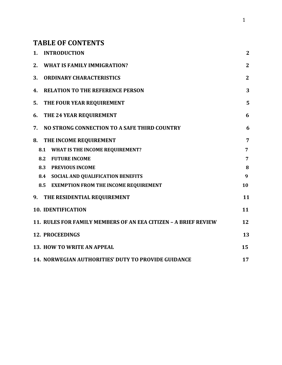# **TABLE OF CONTENTS**

| <b>INTRODUCTION</b><br>1.                                       | $\overline{2}$ |
|-----------------------------------------------------------------|----------------|
| <b>WHAT IS FAMILY IMMIGRATION?</b><br>2.                        | $\mathbf{2}$   |
| <b>ORDINARY CHARACTERISTICS</b><br>3.                           | $\mathbf{2}$   |
| <b>RELATION TO THE REFERENCE PERSON</b><br>4.                   | 3              |
| 5.<br>THE FOUR YEAR REQUIREMENT                                 | 5              |
| THE 24 YEAR REQUIREMENT<br>6.                                   | 6              |
| NO STRONG CONNECTION TO A SAFE THIRD COUNTRY<br>7.              | 6              |
| THE INCOME REQUIREMENT<br>8.                                    | 7              |
| <b>WHAT IS THE INCOME REQUIREMENT?</b><br>8.1                   | 7              |
| 8.2<br><b>FUTURE INCOME</b>                                     | $\overline{7}$ |
| 8.3<br><b>PREVIOUS INCOME</b>                                   | 8              |
| 8.4 SOCIAL AND QUALIFICATION BENEFITS                           | 9              |
| 8.5<br><b>EXEMPTION FROM THE INCOME REQUIREMENT</b>             | 10             |
| 9. THE RESIDENTIAL REQUIREMENT                                  | 11             |
| <b>10. IDENTIFICATION</b>                                       | 11             |
| 11. RULES FOR FAMILY MEMBERS OF AN EEA CITIZEN - A BRIEF REVIEW | 12             |
| <b>12. PROCEEDINGS</b>                                          | 13             |
| 13. HOW TO WRITE AN APPEAL                                      | 15             |
| <b>14. NORWEGIAN AUTHORITIES' DUTY TO PROVIDE GUIDANCE</b>      | 17             |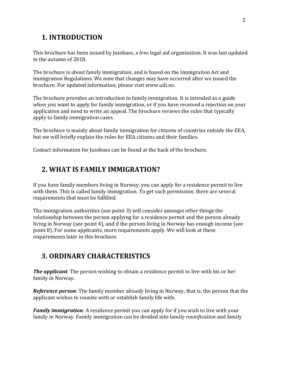# **1. INTRODUCTION**

This brochure has been issued by Jussbuss, a free legal aid organization. It was last updated in the autumn of 2018.

The brochure is about family immigration, and is based on the Immigration Act and Immigration Regulations. We note that changes may have occurred after we issued the brochure. For updated information, please visit www.udi.no.

The brochure provides an introduction to family immigration. It is intended as a guide when you want to apply for family immigration, or if you have received a rejection on your application and need to write an appeal. The brochure reviews the rules that typically apply to family immigration cases.

The brochure is mainly about family immigration for citizens of countries outside the EEA, but we will briefly explain the rules for EEA citizens and their families.

Contact information for Jussbuss can be found at the back of the brochure.

# **2. WHAT IS FAMILY IMMIGRATION?**

If you have family members living in Norway, you can apply for a residence permit to live with them. This is called family immigration. To get such permission, there are several requirements that must be fulfilled.

The immigration authorities (see point 3) will consider amongst other things the relationship between the person applying for a residence permit and the person already living in Norway (see point 4), and if the person living in Norway has enough income (see point 8). For some applicants, more requirements apply. We will look at these requirements later in this brochure.

# **3. ORDINARY CHARACTERISTICS**

*The applicant*: The person wishing to obtain a residence permit to live with his or her family in Norway.

*Reference person*: The family member already living in Norway, that is, the person that the applicant wishes to reunite with or establish family life with.

*Family immigration*: A residence permit you can apply for if you wish to live with your family in Norway. Family immigration can be divided into family *reunification* and family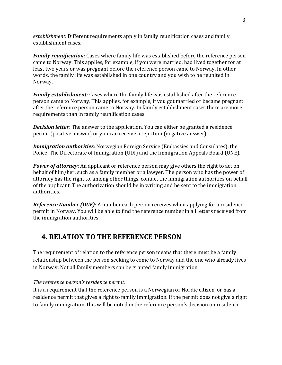*establishment*. Different requirements apply in family reunification cases and family establishment cases.

*Family reunification*: Cases where family life was established before the reference person came to Norway. This applies, for example, if you were married, had lived together for at least two years or was pregnant before the reference person came to Norway. In other words, the family life was established in one country and you wish to be reunited in Norway.

*Family establishment*: Cases where the family life was established after the reference person came to Norway. This applies, for example, if you got married or became pregnant after the reference person came to Norway. In family establishment cases there are more requirements than in family reunification cases.

*Decision letter*: The answer to the application. You can either be granted a residence permit (positive answer) or you can receive a rejection (negative answer).

*Immigration authorities*: Norwegian Foreign Service (Embassies and Consulates), the Police, The Directorate of Immigration (UDI) and the Immigration Appeals Board (UNE).

*Power of attorney*: An applicant or reference person may give others the right to act on behalf of him/her, such as a family member or a lawyer. The person who has the power of attorney has the right to, among other things, contact the immigration authorities on behalf of the applicant. The authorization should be in writing and be sent to the immigration authorities.

*Reference Number (DUF)*: A number each person receives when applying for a residence permit in Norway. You will be able to find the reference number in all letters received from the immigration authorities.

# **4. RELATION TO THE REFERENCE PERSON**

The requirement of relation to the reference person means that there must be a family relationship between the person seeking to come to Norway and the one who already lives in Norway. Not all family members can be granted family immigration.

## *The reference person's residence permit:*

It is a requirement that the reference person is a Norwegian or Nordic citizen, or has a residence permit that gives a right to family immigration. If the permit does not give a right to family immigration, this will be noted in the reference person's decision on residence.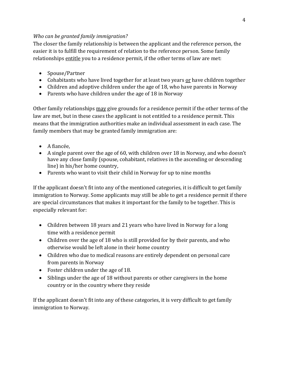## *Who can be granted family immigration?*

The closer the family relationship is between the applicant and the reference person, the easier it is to fulfill the requirement of relation to the reference person. Some family relationships entitle you to a residence permit, if the other terms of law are met:

- Spouse/Partner
- Cohabitants who have lived together for at least two years or have children together
- Children and adoptive children under the age of 18, who have parents in Norway
- Parents who have children under the age of 18 in Norway

Other family relationships may give grounds for a residence permit if the other terms of the law are met, but in these cases the applicant is not entitled to a residence permit. This means that the immigration authorities make an individual assessment in each case. The family members that may be granted family immigration are:

- A fiancée,
- A single parent over the age of 60, with children over 18 in Norway, and who doesn't have any close family (spouse, cohabitant, relatives in the ascending or descending line) in his/her home country,
- Parents who want to visit their child in Norway for up to nine months

If the applicant doesn't fit into any of the mentioned categories, it is difficult to get family immigration to Norway. Some applicants may still be able to get a residence permit if there are special circumstances that makes it important for the family to be together. This is especially relevant for:

- Children between 18 years and 21 years who have lived in Norway for a long time with a residence permit
- Children over the age of 18 who is still provided for by their parents, and who otherwise would be left alone in their home country
- Children who due to medical reasons are entirely dependent on personal care from parents in Norway
- Foster children under the age of 18.
- Siblings under the age of 18 without parents or other caregivers in the home country or in the country where they reside

If the applicant doesn't fit into any of these categories, it is very difficult to get family immigration to Norway.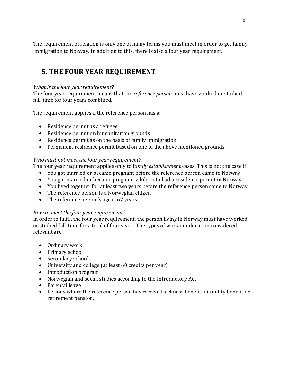The requirement of relation is only one of many terms you must meet in order to get family immigration to Norway. In addition to this, there is also a four year requirement.

# **5. THE FOUR YEAR REQUIREMENT**

#### *What is the four year requirement?*

The four year requirement means that the *reference person* must have worked or studied full-time for four years combined.

The requirement applies if the reference person has a:

- Residence permit as a refugee
- Residence permit on humanitarian grounds
- Residence permit as on the basis of family immigration
- Permanent residence permit based on one of the above mentioned grounds

## *Who must not meet the four year requirement?*

The four year requirement applies only to f*amily establishment* cases. This is not the case if:

- You got married or became pregnant before the reference person came to Norway
- You got married or became pregnant while both had a residence permit in Norway
- You lived together for at least two years before the reference person came to Norway
- The reference person is a Norwegian citizen
- The reference person's age is 67 years

## *How to meet the four year requirement?*

In order to fulfill the four year requirement, the person living in Norway must have worked or studied full-time for a total of four years. The types of work or education considered relevant are:

- Ordinary work
- Primary school
- Secondary school
- University and college (at least 60 credits per year)
- Introduction program
- Norwegian and social studies according to the Introductory Act
- Parental leave
- Periods where the reference person has received sickness benefit, disability benefit or retirement pension.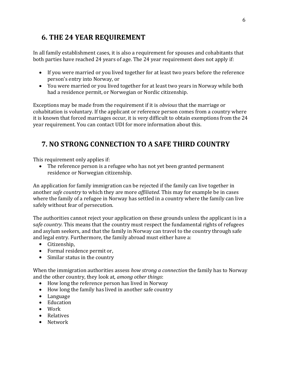# **6. THE 24 YEAR REQUIREMENT**

In all family establishment cases, it is also a requirement for spouses and cohabitants that both parties have reached 24 years of age. The 24 year requirement does not apply if:

- If you were married or you lived together for at least two years before the reference person's entry into Norway, or
- You were married or you lived together for at least two years in Norway while both had a residence permit, or Norwegian or Nordic citizenship.

Exceptions may be made from the requirement if it is *obvious* that the marriage or cohabitation is voluntary. If the applicant or reference person comes from a country where it is known that forced marriages occur, it is very difficult to obtain exemptions from the 24 year requirement. You can contact UDI for more information about this.

# **7. NO STRONG CONNECTION TO A SAFE THIRD COUNTRY**

This requirement only applies if:

 The reference person is a refugee who has not yet been granted permanent residence or Norwegian citizenship.

An application for family immigration can be rejected if the family can live together in another *safe country* to which they are more *affiliated*. This may for example be in cases where the family of a refugee in Norway has settled in a country where the family can live safely without fear of persecution.

The authorities cannot reject your application on these grounds unless the applicant is in a s*afe country.* This means that the country must respect the fundamental rights of refugees and asylum seekers, and that the family in Norway can travel to the country through safe and legal entry. Furthermore, the family abroad must either have a:

- Citizenship,
- Formal residence permit or,
- Similar status in the country

When the immigration authorities assess *how strong a connection* the family has to Norway and the other country, they look at, *among other things*:

- How long the reference person has lived in Norway
- How long the family has lived in another safe country
- Language
- Education
- Work
- Relatives
- Network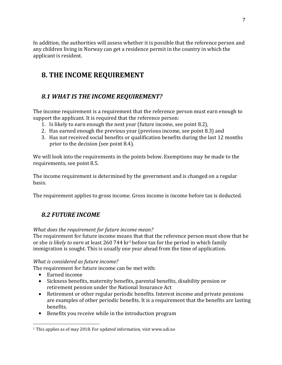In addition, the authorities will assess whether it is possible that the reference person and any children living in Norway can get a residence permit in the country in which the applicant is resident.

# **8. THE INCOME REQUIREMENT**

## *8.1 WHAT IS THE INCOME REQUIREMENT?*

The income requirement is a requirement that the reference person must earn enough to support the applicant. It is required that the reference person:

- 1. Is likely to earn enough the next year (future income, see point 8.2),
- 2. Has earned enough the previous year (previous income, see point 8.3) and
- 3. Has not received social benefits or qualification benefits during the last 12 months prior to the decision (see point 8.4).

We will look into the requirements in the points below. Exemptions may be made to the requirements, see point 8.5.

The income requirement is determined by the government and is changed on a regular basis.

The requirement applies to gross income. Gross income is income before tax is deducted.

# *8.2 FUTURE INCOME*

## *What does the requirement for future income mean?*

The requirement for future income means that that the reference person must show that he or she *is likely to earn* at least 260 744 kr1 before tax for the period in which family immigration is sought. This is usually one year ahead from the time of application.

## *What is considered as future income?*

The requirement for future income can be met with:

- Earned income
- Sickness benefits, maternity benefits, parental benefits, disability pension or retirement pension under the National Insurance Act
- Retirement or other regular periodic benefits. Interest income and private pensions are examples of other periodic benefits. It is a requirement that the benefits are lasting benefits.
- Benefits you receive while in the introduction program

<sup>&</sup>lt;sup>1</sup> This applies as of may 2018. For updated information, visit www.udi.no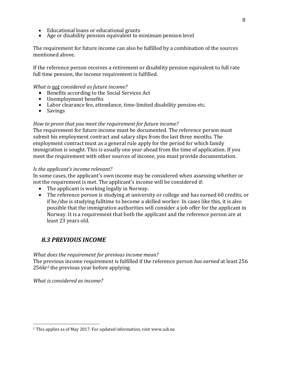- Educational loans or educational grants
- Age or disability pension equivalent to minimum pension level

The requirement for future income can also be fulfilled by a combination of the sources mentioned above.

If the reference person receives a retirement or disability pension equivalent to full rate full time pension, the income requirement is fulfilled.

#### *What is not considered as future income?*

- Benefits according to the Social Services Act
- Unemployment benefits
- Labor clearance fee, attendance, time-limited disability pension etc.
- Savings

#### *How to prove that you meet the requirement for future income?*

The requirement for future income must be documented. The reference person must submit his employment contract and salary slips from the last three months. The employment contract must as a general rule apply for the period for which family immigration is sought. This is usually one year ahead from the time of application. If you meet the requirement with other sources of income, you must provide documentation.

#### *Is the applicant's income relevant?*

In some cases, the applicant's own income may be considered when assessing whether or not the requirement is met. The applicant's income will be considered if:

- The applicant is working legally in Norway.
- The reference person is studying at university or college and has earned 60 credits, or if he/she is studying fulltime to become a skilled worker. In cases like this, it is also possible that the immigration authorities will consider a job offer for the applicant in Norway. It is a requirement that both the applicant and the reference person are at least 23 years old.

## *8.3 PREVIOUS INCOME*

#### *What does the requirement for previous income mean?*

The previous income requirement is fulfilled if the reference person *has earned* at least 256 256kr2 the previous year before applying.

*What is considered as income?*

8

<sup>2</sup>This applies as of May 2017. For updated information, visit www.udi.no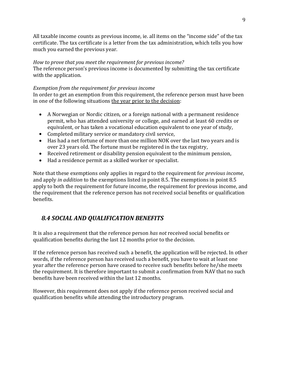All taxable income counts as previous income, ie. all items on the "income side" of the tax certificate. The tax certificate is a letter from the tax administration, which tells you how much you earned the previous year.

#### *How to prove that you meet the requirement for previous income?*

The reference person's previous income is documented by submitting the tax certificate with the application.

## *Exemption from the requirement for previous income*

In order to get an exemption from this requirement, the reference person must have been in one of the following situations the year prior to the decision:

- A Norwegian or Nordic citizen, or a foreign national with a permanent residence permit, who has attended university or college, and earned at least 60 credits or equivalent, or has taken a vocational education equivalent to one year of study,
- Completed military service or mandatory civil service,
- Has had a net fortune of more than one million NOK over the last two years and is over 23 years old. The fortune must be registered in the tax registry,
- Received retirement or disability pension equivalent to the minimum pension,
- Had a residence permit as a skilled worker or specialist.

Note that these exemptions only applies in regard to the requirement for *previous income*, and apply *in addition* to the exemptions listed in point 8.5. The exemptions in point 8.5 apply to both the requirement for future income, the requirement for previous income, and the requirement that the reference person has not received social benefits or qualification benefits.

## *8.4 SOCIAL AND QUALIFICATION BENEFITS*

It is also a requirement that the reference person *has not* received social benefits or qualification benefits during the last 12 months prior to the decision.

If the reference person has received such a benefit, the application will be rejected. In other words, if the reference person has received such a benefit, you have to wait at least one year after the reference person have ceased to receive such benefits before he/she meets the requirement. It is therefore important to submit a confirmation from NAV that no such benefits have been received within the last 12 months.

However, this requirement does not apply if the reference person received social and qualification benefits while attending the introductory program.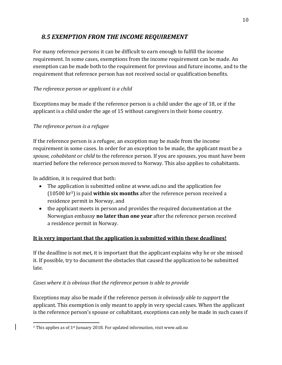## *8.5 EXEMPTION FROM THE INCOME REQUIREMENT*

For many reference persons it can be difficult to earn enough to fulfill the income requirement. In some cases, exemptions from the income requirement can be made. An exemption can be made both to the requirement for previous and future income, and to the requirement that reference person has not received social or qualification benefits.

## *The reference person or applicant is a child*

Exceptions may be made if the reference person is a child under the age of 18, or if the applicant is a child under the age of 15 without caregivers in their home country.

## *The reference person is a refugee*

If the reference person is a refugee, an exception may be made from the income requirement in some cases. In order for an exception to be made, the applicant must be a *spouse*, *cohabitant* or *child* to the reference person. If you are spouses, you must have been married before the reference person moved to Norway. This also applies to cohabitants.

In addition, it is required that both:

- The application is submitted online at www.udi.no and the application fee (10500 kr3) is paid **within six months** after the reference person received a residence permit in Norway, and
- the applicant meets in person and provides the required documentation at the Norwegian embassy **no later than one year** after the reference person received a residence permit in Norway.

## **It is very important that the application is submitted within these deadlines!**

If the deadline is not met, it is important that the applicant explains why he or she missed it. If possible, try to document the obstacles that caused the application to be submitted late.

## *Cases where it is obvious that the reference person is able to provide*

Exceptions may also be made if the reference person *is obviously able to support* the applicant. This exemption is only meant to apply in very special cases. When the applicant is the reference person's spouse or cohabitant, exceptions can only be made in such cases if

<sup>&</sup>lt;sup>3</sup> This applies as of 1<sup>st</sup> Junuary 2018. For updated information, visit www.udi.no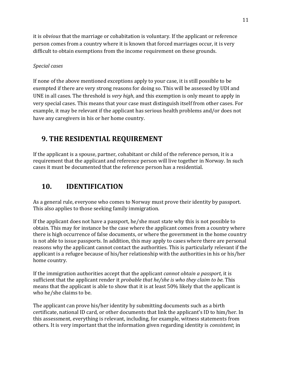it is *obvious* that the marriage or cohabitation is voluntary. If the applicant or reference person comes from a country where it is known that forced marriages occur, it is very difficult to obtain exemptions from the income requirement on these grounds.

## *Special cases*

If none of the above mentioned exceptions apply to your case, it is still possible to be exempted if there are very strong reasons for doing so. This will be assessed by UDI and UNE in all cases. The threshold is *very high*, and this exemption is only meant to apply in very special cases. This means that your case must distinguish itself from other cases. For example, it may be relevant if the applicant has serious health problems and/or does not have any caregivers in his or her home country.

# **9. THE RESIDENTIAL REQUIREMENT**

If the applicant is a spouse, partner, cohabitant or child of the reference person, it is a requirement that the applicant and reference person will live together in Norway. In such cases it must be documented that the reference person has a residential.

# **10. IDENTIFICATION**

As a general rule, everyone who comes to Norway must prove their identity by passport. This also applies to those seeking family immigration.

If the applicant does not have a passport, he/she must state why this is not possible to obtain. This may for instance be the case where the applicant comes from a country where there is high occurrence of false documents, or where the government in the home country is not able to issue passports. In addition, this may apply to cases where there are personal reasons why the applicant cannot contact the authorities. This is particularly relevant if the applicant is a refugee because of his/her relationship with the authorities in his or his/her home country.

If the immigration authorities accept that the applicant *cannot obtain a passport*, it is sufficient that the applicant render it *probable that he/she is who they claim to be*. This means that the applicant is able to show that it is at least 50% likely that the applicant is who he/she claims to be.

The applicant can prove his/her identity by submitting documents such as a birth certificate, national ID card, or other documents that link the applicant's ID to him/her. In this assessment, everything is relevant, including, for example, witness statements from others. It is very important that the information given regarding identity is *consistent*; in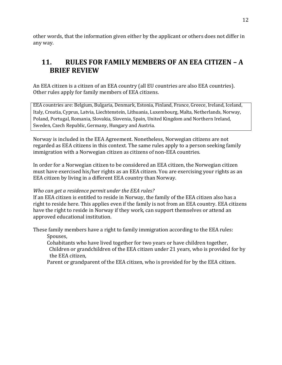other words, that the information given either by the applicant or others does not differ in any way.

# **11. RULES FOR FAMILY MEMBERS OF AN EEA CITIZEN – A BRIEF REVIEW**

An EEA citizen is a citizen of an EEA country (all EU countries are also EEA countries). Other rules apply for family members of EEA citizens.

EEA countries are: Belgium, Bulgaria, Denmark, Estonia, Finland, France, Greece, Ireland, Iceland, Italy, Croatia, Cyprus, Latvia, Liechtenstein, Lithuania, Luxembourg, Malta, Netherlands, Norway, Poland, Portugal, Romania, Slovakia, Slovenia, Spain, United Kingdom and Northern Ireland, Sweden, Czech Republic, Germany, Hungary and Austria.

Norway is included in the EEA Agreement. Nonetheless, Norwegian citizens are not regarded as EEA citizens in this context. The same rules apply to a person seeking family immigration with a Norwegian citizen as citizens of non-EEA countries.

In order for a Norwegian citizen to be considered an EEA citizen, the Norwegian citizen must have exercised his/her rights as an EEA citizen. You are exercising your rights as an EEA citizen by living in a different EEA country than Norway.

## *Who can get a residence permit under the EEA rules?*

If an EEA citizen is entitled to reside in Norway, the family of the EEA citizen also has a right to reside here. This applies even if the family is not from an EEA country. EEA citizens have the right to reside in Norway if they work, can support themselves or attend an approved educational institution.

These family members have a right to family immigration according to the EEA rules: Spouses,

 Cohabitants who have lived together for two years or have children together, Children or grandchildren of the EEA citizen under 21 years, who is provided for by the EEA citizen,

Parent or grandparent of the EEA citizen, who is provided for by the EEA citizen.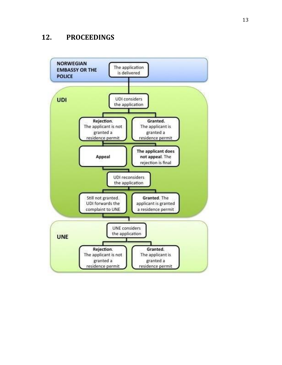## **12. PROCEEDINGS**

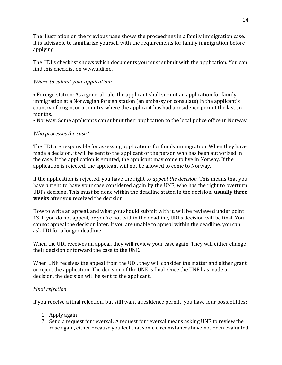The illustration on the previous page shows the proceedings in a family immigration case. It is advisable to familiarize yourself with the requirements for family immigration before applying.

The UDI's checklist shows which documents you must submit with the application. You can find this checklist on www.udi.no.

## *Where to submit your application:*

• Foreign station: As a general rule, the applicant shall submit an application for family immigration at a Norwegian foreign station (an embassy or consulate) in the applicant's country of origin, or a country where the applicant has had a residence permit the last six months.

• Norway: Some applicants can submit their application to the local police office in Norway.

#### *Who processes the case?*

The UDI are responsible for assessing applications for family immigration. When they have made a decision, it will be sent to the applicant or the person who has been authorized in the case. If the application is granted, the applicant may come to live in Norway. If the application is rejected, the applicant will not be allowed to come to Norway.

If the application is rejected, you have the right to *appeal the decision.* This means that you have a right to have your case considered again by the UNE, who has the right to overturn UDI's decision. This must be done within the deadline stated in the decision, **usually three weeks** after you received the decision.

How to write an appeal, and what you should submit with it, will be reviewed under point 13. If you do not appeal, or you're not within the deadline, UDI's decision will be final. You cannot appeal the decision later. If you are unable to appeal within the deadline, you can ask UDI for a longer deadline.

When the UDI receives an appeal, they will review your case again. They will either change their decision or forward the case to the UNE.

When UNE receives the appeal from the UDI, they will consider the matter and either grant or reject the application. The decision of the UNE is final. Once the UNE has made a decision, the decision will be sent to the applicant.

#### *Final rejection*

If you receive a final rejection, but still want a residence permit, you have four possibilities:

- 1. Apply again
- 2. Send a request for reversal: A request for reversal means asking UNE to review the case again, either because you feel that some circumstances have not been evaluated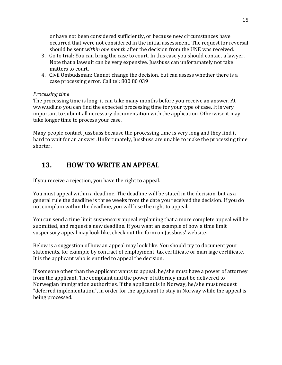or have not been considered sufficiently, or because new circumstances have occurred that were not considered in the initial assessment. The request for reversal should be sent *within one month* after the decision from the UNE was received.

- 3. Go to trial: You can bring the case to court. In this case you should contact a lawyer. Note that a lawsuit can be very expensive. Jussbuss can unfortunately not take matters to court.
- 4. Civil Ombudsman: Cannot change the decision, but can assess whether there is a case processing error. Call tel: 800 80 039

#### *Processing time*

The processing time is long; it can take many months before you receive an answer. At www.udi.no you can find the expected processing time for your type of case. It is very important to submit all necessary documentation with the application. Otherwise it may take longer time to process your case.

Many people contact Jussbuss because the processing time is very long and they find it hard to wait for an answer. Unfortunately, Jussbuss are unable to make the processing time shorter.

# **13. HOW TO WRITE AN APPEAL**

If you receive a rejection, you have the right to appeal.

You must appeal within a deadline. The deadline will be stated in the decision, but as a general rule the deadline is three weeks from the date you received the decision. If you do not complain within the deadline, you will lose the right to appeal.

You can send a time limit suspensory appeal explaining that a more complete appeal will be submitted, and request a new deadline. If you want an example of how a time limit suspensory appeal may look like, check out the form on Jussbuss' website.

Below is a suggestion of how an appeal may look like. You should try to document your statements, for example by contract of employment, tax certificate or marriage certificate. It is the applicant who is entitled to appeal the decision.

If someone other than the applicant wants to appeal, he/she must have a power of attorney from the applicant. The complaint and the power of attorney must be delivered to Norwegian immigration authorities. If the applicant is in Norway, he/she must request "deferred implementation", in order for the applicant to stay in Norway while the appeal is being processed.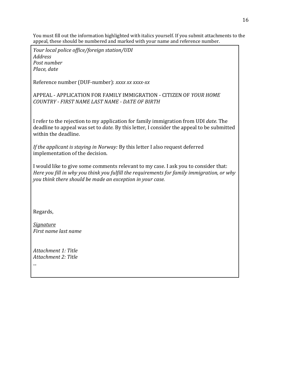You must fill out the information highlighted with italics yourself. If you submit attachments to the appeal, these should be numbered and marked with your name and reference number.

*Your local police office/foreign station/UDI Address Post number Place, date*

Reference number (DUF-number): *xxxx xx xxxx-xx*

APPEAL - APPLICATION FOR FAMILY IMMIGRATION - CITIZEN OF *YOUR HOME COUNTRY - FIRST NAME LAST NAME - DATE OF BIRTH*

I refer to the rejection to my application for family immigration from UDI *date.* The deadline to appeal was set to *date.* By this letter, I consider the appeal to be submitted within the deadline.

*If the applicant is staying in Norway:* By this letter I also request deferred implementation of the decision.

I would like to give some comments relevant to my case. I ask you to consider that: *Here you fill in why you think you fulfill the requirements for family immigration, or why you think there should be made an exception in your case.*

Regards,

...

*Signature First name last name*

*Attachment 1: Title Attachment 2: Title*